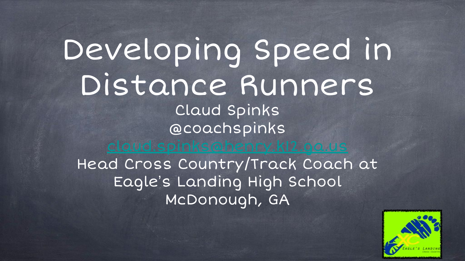#### Developing Speed in Distance Runners Claud Spinks @coachspinks

Head Cross Country/Track Coach at Eagle's Landing High School McDonough, GA

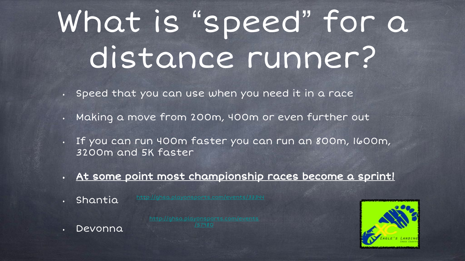# What is "speed" for a distance runner?

- Speed that you can use when you need it in a race
- Making a move from 200m, 400m or even further out
- If you can run 400m faster you can run an 800m, 1600m, 3200m and 5K faster
- At some point most championship races become a sprint!
- Shantia

• Devonna

[/57980](http://ghsa.playonsports.com/events/57980)

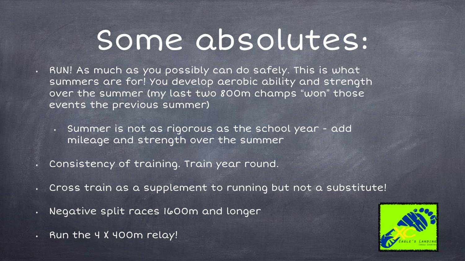#### Some absolutes:

- RUN! As much as you possibly can do safely. This is what summers are for! You develop aerobic ability and strength over the summer (my last two 800m champs "won" those events the previous summer)
	- Summer is not as rigorous as the school year add mileage and strength over the summer
- Consistency of training. Train year round.
- Cross train as a supplement to running but not a substitute!
- Negative split races 1600m and longer
- Run the 4 X 400m relay!

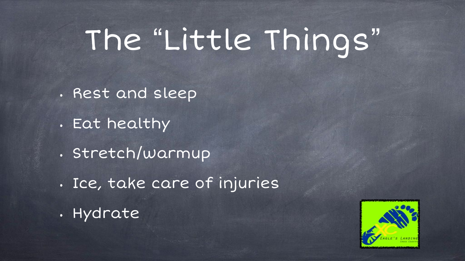# The "Little Things"

- Rest and sleep
- Eat healthy
- Stretch/warmup
- Ice, take care of injuries
- Hydrate

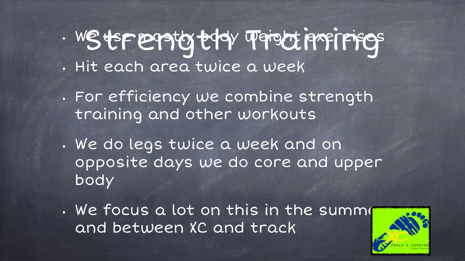· WS ts FEPS to the Weight insirings • Hit each area twice a week

- For efficiency we combine strength training and other workouts
- We do legs twice a week and on opposite days we do core and upper body
- . We focus a lot on this in the summe and between XC and track

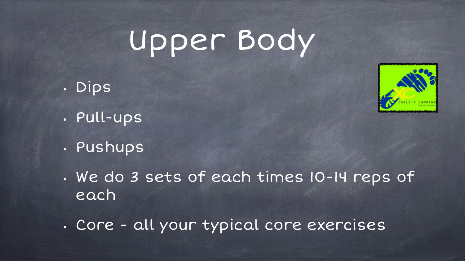## Upper Body

- Dips
- Pull-ups
- Pushups
- We do 3 sets of each times 10-14 reps of each
- Core all your typical core exercises

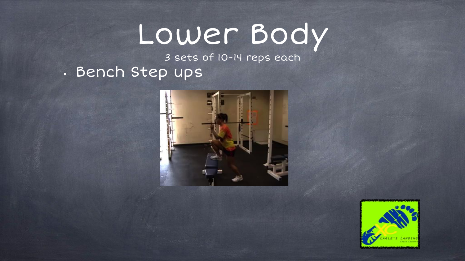### Lower Body

3 sets of 10-14 reps each

• Bench Step ups



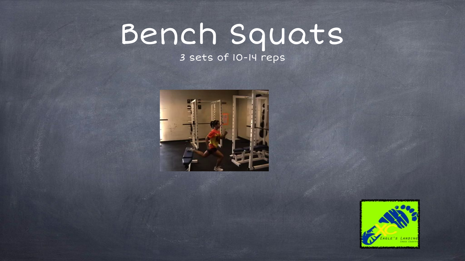# Bench Squats

#### 3 sets of 10-14 reps



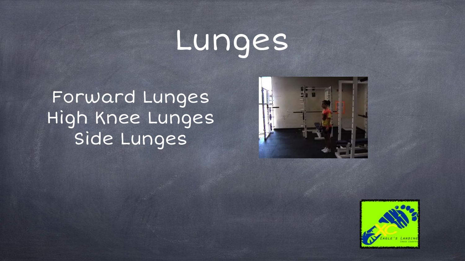# Lunges

Forward Lunges High Knee Lunges Side Lunges



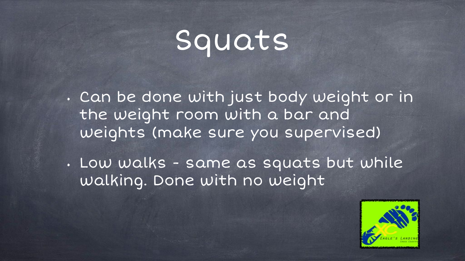## Squats

• Can be done with just body weight or in the weight room with a bar and weights (make sure you supervised)

• Low walks - same as squats but while walking. Done with no weight

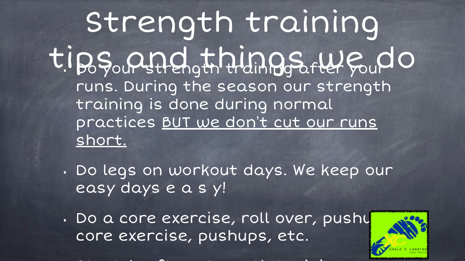Strength training tips and things  $\mu$ e Gulo runs. During the season our strength training is done during normal practices BUT we don't cut our runs short.

• Do legs on workout days. We keep our easy days e a s y!

• Do a core exercise, roll over, pushu core exercise, pushups, etc.

• Stretch after strength training

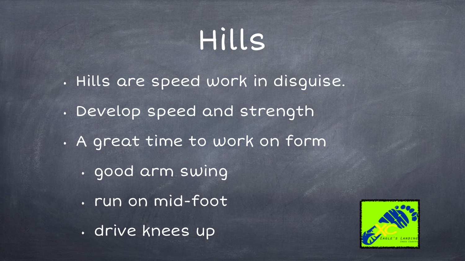## Hills

• Hills are speed work in disguise.

- Develop speed and strength
- A great time to work on form
	- good arm swing
	- run on mid-foot
	- drive knees up

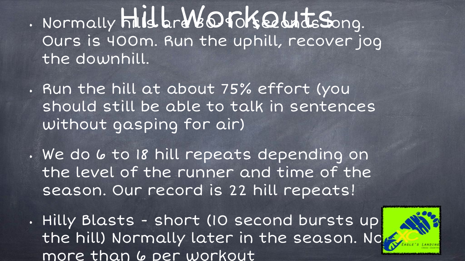. Normally hill are 16040Ks at the Song. Ours is 400m. Run the uphill, recover jog the downhill.

- Run the hill at about 75% effort (you should still be able to talk in sentences without gasping for air)
- . We do 6 to 18 hill repeats depending on the level of the runner and time of the season. Our record is 22 hill repeats!
- Hilly Blasts short (10 second bursts up the hill) Normally later in the season. Note more than 6 per workout

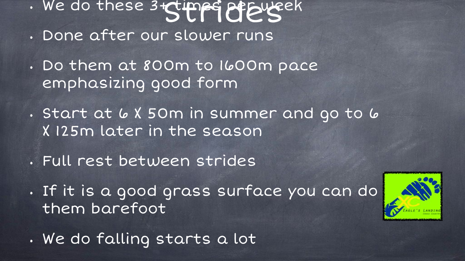- . We do these 3+ times of Eureck
- Done after our slower runs
- Do them at 800m to 1600m pace emphasizing good form
- . Start at 6 X 50m in summer and go to 6 X 125m later in the season
- Full rest between strides
- If it is a good grass surface you can do them barefoot



• We do falling starts a lot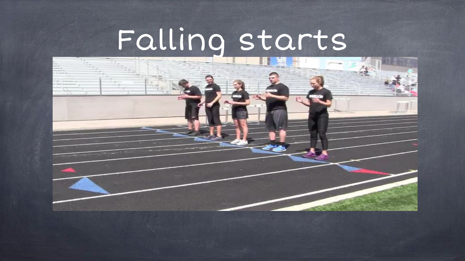# Falling starts

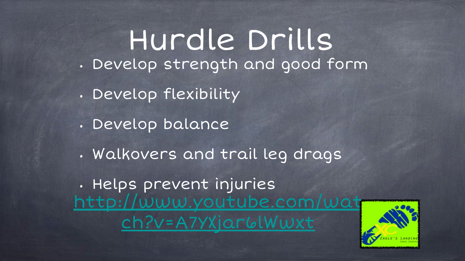Hurdle Drills • Develop strength and good form • Develop flexibility • Develop balance • Walkovers and trail leg drags • Helps prevent injuries http://www.youtube.com [ch?v=A7YXjar6lWwxt](http://www.youtube.com/watch?v=A7YXjar6lWwxt)

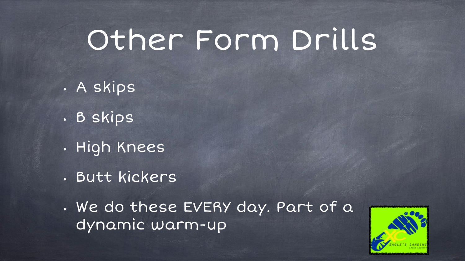#### Other Form Drills

- A skips
- B skips
- High Knees
- Butt kickers

• We do these EVERY day. Part of a dynamic warm-up

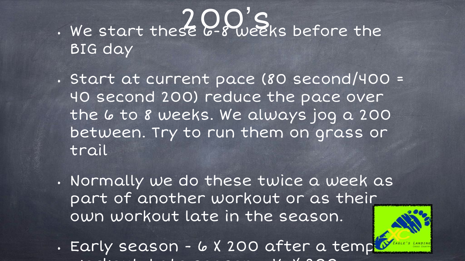#### $\cdot$  We start these  $Q_0Q_0'S_0$  before the BIG day

- Start at current pace (80 second/400 = 40 second 200) reduce the pace over the 6 to 8 weeks. We always jog a 200 between. Try to run them on grass or trail
- Normally we do these twice a week as part of another workout or as their own workout late in the season.
- Early season 6 X 200 after a temp  $\sim$  1.  $\sim$  1.  $\sim$  1.  $\sim$  1.  $\sim$  200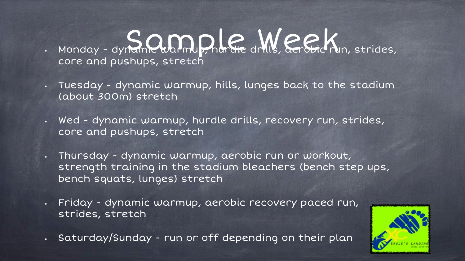#### $\frac{1}{2}$  Monday - dynamic warmup, hurdle drills,  $\frac{1}{2}$  er God  $X_{\text{m, strategies}}$ core and pushups, stretch

- Tuesday dynamic warmup, hills, lunges back to the stadium (about 300m) stretch
- Wed dynamic warmup, hurdle drills, recovery run, strides, core and pushups, stretch
- Thursday dynamic warmup, aerobic run or workout, strength training in the stadium bleachers (bench step ups, bench squats, lunges) stretch
- Friday dynamic warmup, aerobic recovery paced run, strides, stretch
- Saturday/Sunday run or off depending on their plan